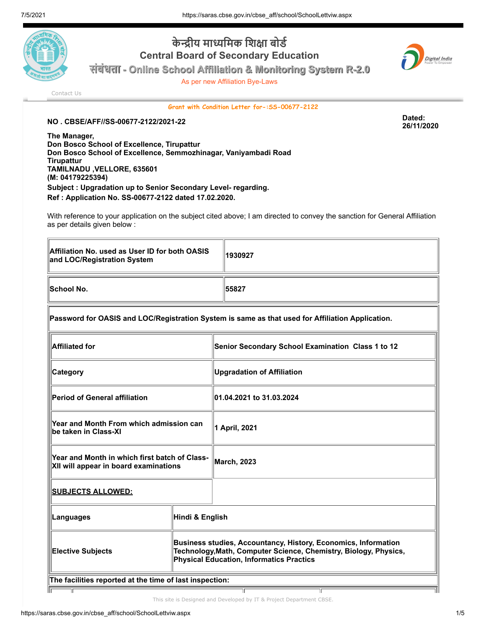

## **केन्द्री य मा ध्यमि क शि क्षा बो र्ड Central Board of Secondary Education**

**संसंसंबंसंबंबंधबं ताताताता - Online School Affiliation & Monitoring System R-2.0**

As per new Affiliation Bye-Laws



[Contact Us](https://saras.cbse.gov.in/cbse_aff/help.aspx)

**Grant with Condition Letter for-:SS-00677-2122**

**NO . CBSE/AFF//SS-00677-2122/2021-22 Dated:**

**26/11/2020**

**The Manager, Don Bosco School of Excellence, Tirupattur Don Bosco School of Excellence, Semmozhinagar, Vaniyambadi Road Tirupattur TAMILNADU ,VELLORE, 635601 (M: 04179225394) Subject : Upgradation up to Senior Secondary Level- regarding. Ref : Application No. SS-00677-2122 dated 17.02.2020.**

With reference to your application on the subject cited above; I am directed to convey the sanction for General Affiliation as per details given below :

| Affiliation No. used as User ID for both OASIS<br>and LOC/Registration System | 1930927 |
|-------------------------------------------------------------------------------|---------|
| <b>School No.</b>                                                             | 155827  |

## **Password for OASIS and LOC/Registration System is same as that used for Affiliation Application.**

| <b>Affiliated for</b>                                                                  |                                                                                                                                                                                       | Senior Secondary School Examination Class 1 to 12 |
|----------------------------------------------------------------------------------------|---------------------------------------------------------------------------------------------------------------------------------------------------------------------------------------|---------------------------------------------------|
| Category                                                                               |                                                                                                                                                                                       | <b>Upgradation of Affiliation</b>                 |
| <b>Period of General affiliation</b>                                                   |                                                                                                                                                                                       | 01.04.2021 to 31.03.2024                          |
| Year and Month From which admission can<br>be taken in Class-XI                        |                                                                                                                                                                                       | 1 April, 2021                                     |
| Year and Month in which first batch of Class-<br>XII will appear in board examinations |                                                                                                                                                                                       | <b>March, 2023</b>                                |
| <u>SUBJECTS ALLOWED:</u>                                                               |                                                                                                                                                                                       |                                                   |
| Languages                                                                              | Hindi & English                                                                                                                                                                       |                                                   |
| <b>Elective Subjects</b>                                                               | Business studies, Accountancy, History, Economics, Information<br>Technology, Math, Computer Science, Chemistry, Biology, Physics,<br><b>Physical Education, Informatics Practics</b> |                                                   |
| The facilities reported at the time of last inspection:                                |                                                                                                                                                                                       |                                                   |
|                                                                                        |                                                                                                                                                                                       |                                                   |

**S.No. Detail Nos Size** This site is Designed and Developed by IT & Project Department CBSE.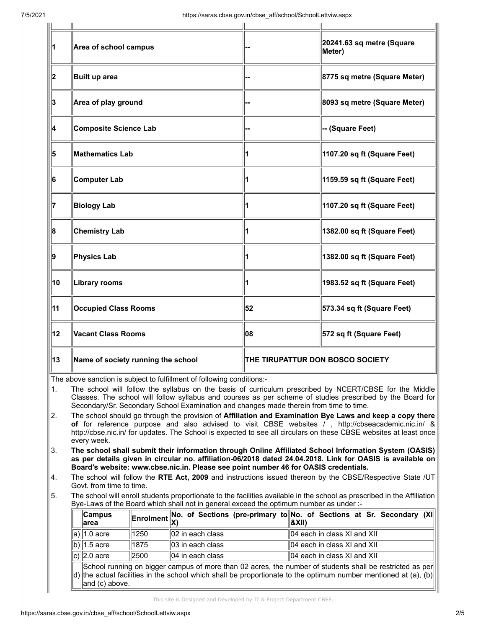| 11 | Area of school campus              |                                  | 20241.63 sq metre (Square<br>Meter) |
|----|------------------------------------|----------------------------------|-------------------------------------|
| 2  | Built up area                      |                                  | 8775 sq metre (Square Meter)        |
| 3  | Area of play ground                |                                  | 8093 sq metre (Square Meter)        |
| 14 | Composite Science Lab              |                                  | -- (Square Feet)                    |
| 5  | <b>Mathematics Lab</b>             | 1                                | 1107.20 sq ft (Square Feet)         |
| 6  | Computer Lab                       | 1                                | 1159.59 sq ft (Square Feet)         |
| 17 | <b>Biology Lab</b>                 |                                  | 1107.20 sq ft (Square Feet)         |
| 8  | <b>Chemistry Lab</b>               |                                  | 1382.00 sq ft (Square Feet)         |
| 9  | <b>Physics Lab</b>                 | 1                                | 1382.00 sq ft (Square Feet)         |
| 10 | Library rooms                      |                                  | 1983.52 sq ft (Square Feet)         |
| 11 | <b>Occupied Class Rooms</b>        | 52                               | 573.34 sq ft (Square Feet)          |
| 12 | Vacant Class Rooms                 | 08                               | 572 sq ft (Square Feet)             |
| 13 | Name of society running the school | THE TIRUPATTUR DON BOSCO SOCIETY |                                     |

The above sanction is subject to fulfillment of following conditions:-

1. The school will follow the syllabus on the basis of curriculum prescribed by NCERT/CBSE for the Middle Classes. The school will follow syllabus and courses as per scheme of studies prescribed by the Board for Secondary/Sr. Secondary School Examination and changes made therein from time to time.

2. The school should go through the provision of **Affiliation and Examination Bye Laws and keep a copy there of** for reference purpose and also advised to visit CBSE websites / , http://cbseacademic.nic.in/ & http://cbse.nic.in/ for updates. The School is expected to see all circulars on these CBSE websites at least once every week.

3. **The school shall submit their information through Online Affiliated School Information System (OASIS) as per details given in circular no. affiliation-06/2018 dated 24.04.2018. Link for OASIS is available on Board's website: www.cbse.nic.in. Please see point number 46 for OASIS credentials.**

4. The school will follow the **RTE Act, 2009** and instructions issued thereon by the CBSE/Respective State /UT Govt. from time to time.

5. The school will enroll students proportionate to the facilities available in the school as prescribed in the Affiliation Bye-Laws of the Board which shall not in general exceed the optimum number as under :-

| $\ $ Campus<br>∥area                                                                                     |       |                              | Enrolment No. of Sections (pre-primary to No. of Sections at Sr. Secondary (XI)<br>  &XII) |  |
|----------------------------------------------------------------------------------------------------------|-------|------------------------------|--------------------------------------------------------------------------------------------|--|
| a)∥1.0 acre                                                                                              | 1250  | $  02$ in each class         | $\parallel$ 04 each in class XI and XII                                                    |  |
| b) $\vert$ 1.5 acre                                                                                      | 1875  | $\parallel$ 03 in each class | $\parallel$ 04 each in class XI and XII                                                    |  |
| c) $\ 2.0\>\text{acre}$                                                                                  | 12500 | $  04$ in each class         | $\parallel$ 04 each in class XI and XII                                                    |  |
| School running on bigger campus of more than 02 acres, the number of students shall be restricted as per |       |                              |                                                                                            |  |

d) School running on bigger campus of more than 02 acres, the number of students shall be restricted as per the actual facilities in the school which shall be proportionate to the optimum number mentioned at (a), (b) and (c) above.

This site is Designed and Developed by IT & Project Department CBSE.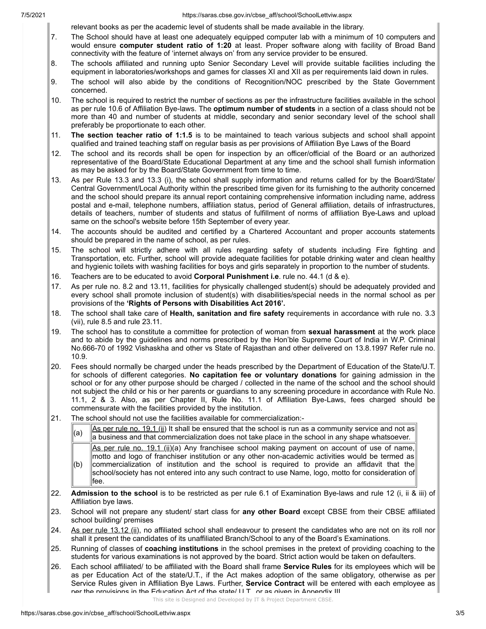7/5/2021 https://saras.cbse.gov.in/cbse\_aff/school/SchoolLettviw.aspx

relevant books as per the academic level of students shall be made available in the library.

- 7. The School should have at least one adequately equipped computer lab with a minimum of 10 computers and would ensure **computer student ratio of 1:20** at least. Proper software along with facility of Broad Band connectivity with the feature of 'internet always on' from any service provider to be ensured.
- 8. The schools affiliated and running upto Senior Secondary Level will provide suitable facilities including the equipment in laboratories/workshops and games for classes XI and XII as per requirements laid down in rules.
- 9. The school will also abide by the conditions of Recognition/NOC prescribed by the State Government concerned.
- 10. The school is required to restrict the number of sections as per the infrastructure facilities available in the school as per rule 10.6 of Affiliation Bye-laws. The **optimum number of students** in a section of a class should not be more than 40 and number of students at middle, secondary and senior secondary level of the school shall preferably be proportionate to each other.
- 11. **The section teacher ratio of 1:1.5** is to be maintained to teach various subjects and school shall appoint qualified and trained teaching staff on regular basis as per provisions of Affiliation Bye Laws of the Board
- 12. The school and its records shall be open for inspection by an officer/official of the Board or an authorized representative of the Board/State Educational Department at any time and the school shall furnish information as may be asked for by the Board/State Government from time to time.
- 13. As per Rule 13.3 and 13.3 (i), the school shall supply information and returns called for by the Board/State/ Central Government/Local Authority within the prescribed time given for its furnishing to the authority concerned and the school should prepare its annual report containing comprehensive information including name, address postal and e-mail, telephone numbers, affiliation status, period of General affiliation, details of infrastructures, details of teachers, number of students and status of fulfillment of norms of affiliation Bye-Laws and upload same on the school's website before 15th September of every year.
- 14. The accounts should be audited and certified by a Chartered Accountant and proper accounts statements should be prepared in the name of school, as per rules.
- 15. The school will strictly adhere with all rules regarding safety of students including Fire fighting and Transportation, etc. Further, school will provide adequate facilities for potable drinking water and clean healthy and hygienic toilets with washing facilities for boys and girls separately in proportion to the number of students.
- 16. Teachers are to be educated to avoid **Corporal Punishment i.e**. rule no. 44.1 (d & e).
- 17. As per rule no. 8.2 and 13.11, facilities for physically challenged student(s) should be adequately provided and every school shall promote inclusion of student(s) with disabilities/special needs in the normal school as per provisions of the **'Rights of Persons with Disabilities Act 2016'.**
- 18. The school shall take care of **Health, sanitation and fire safety** requirements in accordance with rule no. 3.3 (vii), rule 8.5 and rule 23.11.
- 19. The school has to constitute a committee for protection of woman from **sexual harassment** at the work place and to abide by the guidelines and norms prescribed by the Hon'ble Supreme Court of India in W.P. Criminal No.666-70 of 1992 Vishaskha and other vs State of Rajasthan and other delivered on 13.8.1997 Refer rule no. 10.9.
- 20. Fees should normally be charged under the heads prescribed by the Department of Education of the State/U.T. for schools of different categories. **No capitation fee or voluntary donations** for gaining admission in the school or for any other purpose should be charged / collected in the name of the school and the school should not subject the child or his or her parents or guardians to any screening procedure in accordance with Rule No. 11.1, 2 & 3. Also, as per Chapter II, Rule No. 11.1 of Affiliation Bye-Laws, fees charged should be commensurate with the facilities provided by the institution.
- 21. The school should not use the facilities available for commercialization:-

(a)  $\Delta s$  per rule no. 19.1 (ii) It shall be ensured that the school is run as a community service and not as a business and that commercialization does not take place in the school in any shape whatsoever. (b) As per rule no. 19.1 (ii)(a) Any franchisee school making payment on account of use of name, motto and logo of franchiser institution or any other non-academic activities would be termed as commercialization of institution and the school is required to provide an affidavit that the school/society has not entered into any such contract to use Name, logo, motto for consideration of fee.

- 22. **Admission to the school** is to be restricted as per rule 6.1 of Examination Bye-laws and rule 12 (i, ii & iii) of Affiliation bye laws.
- 23. School will not prepare any student/ start class for **any other Board** except CBSE from their CBSE affiliated school building/ premises
- 24. As per rule 13.12 (ii), no affiliated school shall endeavour to present the candidates who are not on its roll nor shall it present the candidates of its unaffiliated Branch/School to any of the Board's Examinations.
- 25. Running of classes of **coaching institutions** in the school premises in the pretext of providing coaching to the students for various examinations is not approved by the board. Strict action would be taken on defaulters.
- 26. Each school affiliated/ to be affiliated with the Board shall frame **Service Rules** for its employees which will be as per Education Act of the state/U.T., if the Act makes adoption of the same obligatory, otherwise as per Service Rules given in Affiliation Bye Laws. Further, **Service Contract** will be entered with each employee as ner the provisions in the Education Act of the state/ IIT or as given in Appendix III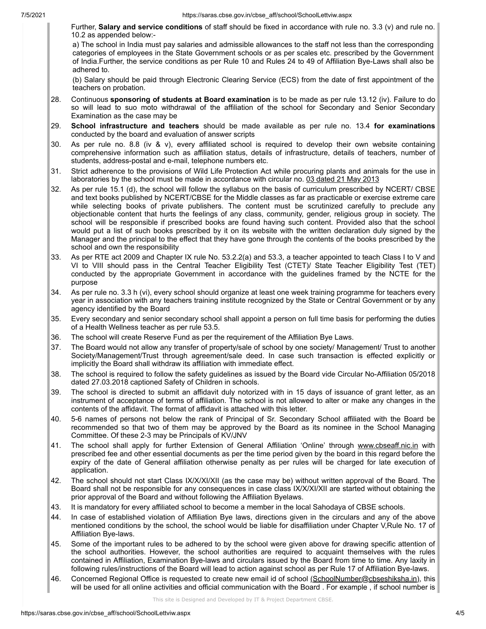Further, **Salary and service conditions** of staff should be fixed in accordance with rule no. 3.3 (v) and rule no. 10.2 as appended below:-

a) The school in India must pay salaries and admissible allowances to the staff not less than the corresponding categories of employees in the State Government schools or as per scales etc. prescribed by the Government of India.Further, the service conditions as per Rule 10 and Rules 24 to 49 of Affiliation Bye-Laws shall also be adhered to.

(b) Salary should be paid through Electronic Clearing Service (ECS) from the date of first appointment of the teachers on probation.

- 28. Continuous **sponsoring of students at Board examination** is to be made as per rule 13.12 (iv). Failure to do so will lead to suo moto withdrawal of the affiliation of the school for Secondary and Senior Secondary Examination as the case may be
- 29. **School infrastructure and teachers** should be made available as per rule no. 13.4 **for examinations** conducted by the board and evaluation of answer scripts
- 30. As per rule no. 8.8 (iv & v), every affiliated school is required to develop their own website containing comprehensive information such as affiliation status, details of infrastructure, details of teachers, number of students, address-postal and e-mail, telephone numbers etc.
- 31. Strict adherence to the provisions of Wild Life Protection Act while procuring plants and animals for the use in laboratories by the school must be made in accordance with circular no. 03 dated 21 May 2013
- 32. As per rule 15.1 (d), the school will follow the syllabus on the basis of curriculum prescribed by NCERT/ CBSE and text books published by NCERT/CBSE for the Middle classes as far as practicable or exercise extreme care while selecting books of private publishers. The content must be scrutinized carefully to preclude any objectionable content that hurts the feelings of any class, community, gender, religious group in society. The school will be responsible if prescribed books are found having such content. Provided also that the school would put a list of such books prescribed by it on its website with the written declaration duly signed by the Manager and the principal to the effect that they have gone through the contents of the books prescribed by the school and own the responsibility
- 33. As per RTE act 2009 and Chapter IX rule No. 53.2.2(a) and 53.3, a teacher appointed to teach Class I to V and VI to VIII should pass in the Central Teacher Eligibility Test (CTET)/ State Teacher Eligibility Test (TET) conducted by the appropriate Government in accordance with the guidelines framed by the NCTE for the purpose
- 34. As per rule no. 3.3 h (vi), every school should organize at least one week training programme for teachers every year in association with any teachers training institute recognized by the State or Central Government or by any agency identified by the Board
- 35. Every secondary and senior secondary school shall appoint a person on full time basis for performing the duties of a Health Wellness teacher as per rule 53.5.
- 36. The school will create Reserve Fund as per the requirement of the Affiliation Bye Laws.
- 37. The Board would not allow any transfer of property/sale of school by one society/ Management/ Trust to another Society/Management/Trust through agreement/sale deed. In case such transaction is effected explicitly or implicitly the Board shall withdraw its affiliation with immediate effect.
- 38. The school is required to follow the safety guidelines as issued by the Board vide Circular No-Affiliation 05/2018 dated 27.03.2018 captioned Safety of Children in schools.
- 39. The school is directed to submit an affidavit duly notorized with in 15 days of issuance of grant letter, as an instrument of acceptance of terms of affiliation. The school is not allowed to alter or make any changes in the contents of the affidavit. The format of affidavit is attached with this letter.
- 40. 5-6 names of persons not below the rank of Principal of Sr. Secondary School affiliated with the Board be recommended so that two of them may be approved by the Board as its nominee in the School Managing Committee. Of these 2-3 may be Principals of KV/JNV
- 41. The school shall apply for further Extension of General Affiliation 'Online' through www.cbseaff.nic.in with prescribed fee and other essential documents as per the time period given by the board in this regard before the expiry of the date of General affiliation otherwise penalty as per rules will be charged for late execution of application.
- 42. The school should not start Class IX/X/XI/XII (as the case may be) without written approval of the Board. The Board shall not be responsible for any consequences in case class IX/X/XI/XII are started without obtaining the prior approval of the Board and without following the Affiliation Byelaws.
- 43. It is mandatory for every affiliated school to become a member in the local Sahodaya of CBSE schools.
- 44. In case of established violation of Affiliation Bye laws, directions given in the circulars and any of the above mentioned conditions by the school, the school would be liable for disaffiliation under Chapter V,Rule No. 17 of Affiliation Bye-laws.
- 45. Some of the important rules to be adhered to by the school were given above for drawing specific attention of the school authorities. However, the school authorities are required to acquaint themselves with the rules contained in Affiliation, Examination Bye-laws and circulars issued by the Board from time to time. Any laxity in following rules/instructions of the Board will lead to action against school as per Rule 17 of Affiliation Bye-laws.
- 46. Concerned Regional Office is requested to create new email id of school (SchoolNumber@cbseshiksha.in), this will be used for all online activities and official communication with the Board . For example , if school number is